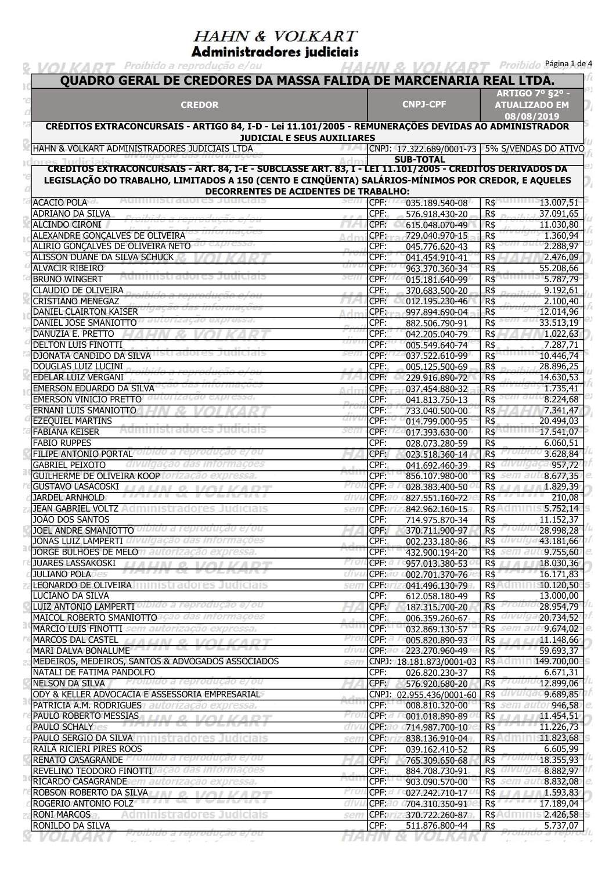Administradores judiciais & VOLKART Proibido a reprodução e/ou HAHN & VOLKART Proibido Página Ade 4

| <b>CREDOR</b>                                                                                                                                                                                                  |           | <b>CNPJ-CPF</b>                          | <b>ARTIGO 7º 82º -</b><br><b>ATUALIZADO EM</b><br>08/08/2019 |
|----------------------------------------------------------------------------------------------------------------------------------------------------------------------------------------------------------------|-----------|------------------------------------------|--------------------------------------------------------------|
| CRÉDITOS EXTRACONCURSAIS - ARTIGO 84, I-D - Lei 11.101/2005 - REMUNERAÇÕES DEVIDAS AO ADMINISTRADOR                                                                                                            |           |                                          |                                                              |
| <b>JUDICIAL E SEUS AUXILIARES</b><br>HAHN & VOLKART ADMINISTRADORES JUDICIAIS LTDA                                                                                                                             |           |                                          | CNPJ: 17.322.689/0001-73 5% S/VENDAS DO ATIVO                |
|                                                                                                                                                                                                                |           | <b>SUB-TOTAL</b>                         |                                                              |
| CREDITOS EXTRACONCURSAIS - ART. 84, I-E - SUBCLASSE ART. 83, I - LEI 11.101/2005 - CREDITOS DERIVADOS DA<br>LEGISLAÇÃO DO TRABALHO, LIMITADOS A 150 (CENTO E CINQÜENTA) SALÁRIOS-MÍNIMOS POR CREDOR, E AQUELES |           |                                          |                                                              |
| <b>DECORRENTES DE ACIDENTES DE TRABALHO:</b>                                                                                                                                                                   |           |                                          |                                                              |
| <b>ACACIO POLA</b>                                                                                                                                                                                             |           | CPF:<br>035.189.540-08                   | $R\$<br>13.007,51                                            |
| <b>ADRIANO DA SILVA</b>                                                                                                                                                                                        |           | CPF:<br>576.918.430-20                   | 37.091,65<br>R\$                                             |
| <b>ALCINDO CIRONI</b>                                                                                                                                                                                          |           | CPF:<br>615.048.070-49                   | R\$<br>11.030,80                                             |
| ALEXANDRE GONÇALVES DE OLIVEIRA                                                                                                                                                                                |           | CPF:<br>729.040.970-15                   | $R\$<br>1.360,94                                             |
| ALIRIO GONÇALVES DE OLIVEIRA NETO                                                                                                                                                                              |           | CPF:<br>045.776.620-43                   | $R\overline{5}$<br>2.288,97                                  |
| ALISSON DUANE DA SILVA SCHUCK                                                                                                                                                                                  |           | CPF:<br>041.454.910-41                   | $R\$<br>2.476,09                                             |
| <b>ALVACIR RIBEIRO</b>                                                                                                                                                                                         |           | CPF:<br>963.370.360-34                   | $R\overline{5}$<br>55.208,66                                 |
| <b>BRUNO WINGERT</b>                                                                                                                                                                                           |           | CPF:<br>015.181.640-99                   | $R\$<br>5.787,79                                             |
| CLAUDIO DE OLIVEIRA                                                                                                                                                                                            |           | CPF:<br>370.683.500-20                   | 9.192,61<br>R\$                                              |
| <b>CRISTIANO MENEGAZ</b>                                                                                                                                                                                       |           | CPF:<br>012.195.230-46                   | 2.100,40<br>R\$                                              |
| DANIEL CLAIRTON KAISER                                                                                                                                                                                         |           | CPF:<br>997.894.690-04                   | R\$<br>12.014,96                                             |
| DANIEL JOSE SMANIOTTO                                                                                                                                                                                          |           | CPF:<br>882.506.790-91                   | $R\overline{5}$<br>33.513,19                                 |
| DANUZIA E. PRETTO                                                                                                                                                                                              |           | CPF:<br>042.205.040-79<br>CPF:           | R\$<br>1.022,63                                              |
| <b>DELTON LUIS FINOTTI</b>                                                                                                                                                                                     |           | 005.549.640-74<br>CPF:                   | $R\$<br>7.287,71<br>$R\$                                     |
| DJONATA CANDIDO DA SILVA<br><b>DOUGLAS LUIZ LUCINI</b>                                                                                                                                                         |           | 037.522.610-99<br>CPF:<br>005.125.500-69 | 10.446,74<br>28.896,25<br>$R\$                               |
| EDELAR LUIZ VERGANI                                                                                                                                                                                            |           | CPF:<br>229.916.890-72                   | $R\$<br>14.630,53                                            |
| <b>ÉMERSON EDUARDO DA SILVA</b>                                                                                                                                                                                | Arin      | CPF:<br>037.454.880-32                   | 1.735,41<br>R\$                                              |
| EMERSON VINICIO PRETTO                                                                                                                                                                                         |           | CPF:<br>041.813.750-13                   | 8.224,68<br>$R\$                                             |
| ERNANI LUIS SMANIOTTO                                                                                                                                                                                          |           | CPF:<br>733.040.500-00                   | $R\$<br>7.341,47                                             |
| <b>EZEQUIEL MARTINS</b>                                                                                                                                                                                        |           | CPF:<br>014.799.000-95                   | $R\$<br>20.494,03                                            |
| <b>FABIANA KEISER</b>                                                                                                                                                                                          |           | CPF:<br>017.393.630-00                   | $R\$<br>17.541,07                                            |
| <b>FABIO RUPPES</b>                                                                                                                                                                                            |           | CPF:<br>028.073.280-59                   | $R\$<br>6.060,51                                             |
| FILIPE ANTONIO PORTAL                                                                                                                                                                                          |           | CPF:<br>023.518.360-14                   | $R\$<br>3.628,84                                             |
| <b>GABRIEL PEIXOTO</b>                                                                                                                                                                                         |           | CPF:<br>041.692.460-39                   | 957,72<br>R\$                                                |
| GUILHERME DE OLIVEIRA KOOP                                                                                                                                                                                     |           | CPF:<br>856.107.980-00                   | <b>R\$</b><br>8.677,35                                       |
| <b>GUSTAVO LASACOSKI</b>                                                                                                                                                                                       |           | CPF:<br>028.383.400-50                   | 1.829,39<br>R\$                                              |
| JARDEL ARNHOLD                                                                                                                                                                                                 | anv       | CPF:<br>827.551.160-72                   | $R\$<br>210,08                                               |
| <b>JEAN GABRIEL VOLTZ</b>                                                                                                                                                                                      | sen       | CPF:<br>842.962.160-15                   | 5.752,14<br>$R\$ – $\Box$                                    |
| <b>JOÃO DOS SANTOS</b>                                                                                                                                                                                         |           | CPF:<br>714.975.870-34                   | 11.152,37<br><b>R\$</b>                                      |
| <b>JOEL ANDRE SMANIOTTO</b> OIDIGO a reprodução e/ ou                                                                                                                                                          |           | CPF:<br>370.711.900-97                   | $R\$<br>28.998,28                                            |
| JONAS LUIZ LAMPERTI divulga                                                                                                                                                                                    |           | CPF:<br>002.233.180-86                   | $R\$<br>43.181,66                                            |
| JORGE BULHÕES DE MELO n autorização expressa.                                                                                                                                                                  | r ro      | CPF:<br>432.900.194-20                   | R\$ 50 9.755,60<br>18.030,36                                 |
| JUARES LASSAKOSKI LARA MARIJI<br>$1/\bigcap VADT$<br>$\mathcal{Q}$<br>œ<br>8 8 F X 8 8 8 X<br>シール・スペン<br><b>JULIANO POLA</b>                                                                                   | arvi      | CPF:<br>957.013.380-53<br>CPF:           | $R\$<br>$2.7 - 2.2 - 2$<br>16.171,83<br>$R\$                 |
| <b>LEONARDO DE OLIVEIRA EN INISTRAdores Judiciais</b>                                                                                                                                                          | sen       | 002.701.370-76<br>CPF:<br>041.496.130-79 | <b>R\$</b><br>10.120,50                                      |
| LUCIANO DA SILVA                                                                                                                                                                                               |           | CPF:<br>612.058.180-49                   | R\$<br>13.000,00                                             |
| LUIZ ANTONIO LAMPERTI OIDIDO a reprodução e/ou                                                                                                                                                                 |           | CPF:<br>187.315.700-20                   | $R\$<br>rroipia<br>28.954,79                                 |
| MAICOL ROBERTO SMANIOTTO Cao das informações                                                                                                                                                                   | $R = 1$ . | CPF:<br>006.359.260-67                   | R\$ alvuiga<br>20.734,52                                     |
| MARCIO LUIS FINOTTI sem autorização expressa.                                                                                                                                                                  |           | CPF:<br>032.869.130-57                   | R\$ sem auto 9.674,02                                        |
| MARCOS DAL CASTEL AND ANNOUNCEMENT OF                                                                                                                                                                          | Proi      | $CPF: \mathbb{Z}$<br>005.820.890-93      | $RS$ $H$ $H$<br>11.148,66                                    |
| MARI DALVA BONALUME                                                                                                                                                                                            | anni      | CPE:20<br>223.270.960-49                 | 17.37.17.<br>$R\$<br>59.693,37                               |
| MEDEIROS, MEDEIROS, SANTOS & ADVOGADOS ASSOCIADOS                                                                                                                                                              | sen       | CNPJ: 18.181.873/0001-03                 | R\$ 149.700,00                                               |
| NATALI DE FATIMA PANDOLFO                                                                                                                                                                                      |           | CPF:<br>026.820.230-37                   | R\$<br>6.671,31                                              |
| NELSON DA SILVA TERROIDIdo a reprodução e/ou                                                                                                                                                                   |           | CPF:<br>576.920.680-20                   | R\$ 12.899,06                                                |
| ODY & KELLER ADVOCACIA E ASSESSORIA EMPRESARIAL                                                                                                                                                                |           | CNPJ:<br>02.955.436/0001-60              | R\$ 9.689,85                                                 |
| PATRICIA A.M. RODRIGUES autorização expressa.                                                                                                                                                                  |           | CPF:<br>008.810.320-00                   | R\$ 6877 946,58                                              |
| PAULO ROBERTO MESSIAS   LI IN 9. 1/01 M/A DT<br><i><b>LIFILITY OF TWEE</b>NTIFY</i>                                                                                                                            | rro       | CPF:<br>001.018.890-89                   | 11.454,51<br>$R$$ $\mu$ $\mu$                                |
| <b>PAULO SCHALY</b><br><b>PAULO SERGIO DA SILVA EL DISTradores Judiciais</b>                                                                                                                                   | arvi      | CPF:<br>714.987.700-10<br>CPF:           | $R\$<br>11.226,73<br>R\$ 11.823,68                           |
| RAILÃ RICIERI PIRES ROOS                                                                                                                                                                                       | sen       | 838.136.910-04<br>CPF:                   | R\$<br>6.605,99                                              |
| RENATO CASAGRANDE Proibido a reprodução e/ou                                                                                                                                                                   |           | 039.162.410-52<br>CPF:<br>765.309.650-68 | R\$ 101010 18.355,93                                         |
| REVELINO TEODORO FINOTTIJAÇÃO das informações                                                                                                                                                                  |           | CPF:<br>884.708.730-91                   | R\$ 8.882,97                                                 |
| RICARDO CASAGRANDESem autorização expressa.                                                                                                                                                                    |           | CPF:<br>903.090.570-00                   | R\$ 8.832,08                                                 |
| ROBSON ROBERTO DA SILVA<br>17/2/17/2022                                                                                                                                                                        | PTO.      | CPF:<br>027.242.710-17                   | R\$<br>1.593,83                                              |
| ROGERIO ANTONIO FOLZ                                                                                                                                                                                           | alvi      | CPF:<br>704.310.350-91                   | 17.189,04<br>$R\$                                            |
| <b>RONI MARCOS</b><br>Administradores Judiciais                                                                                                                                                                | sen       | CPF:<br>370.722.260-87                   | <b>R\$ACTIONS</b><br>2.426,58                                |
| RONILDO DA SILVA                                                                                                                                                                                               |           | CPF:<br>511.876.800-44                   | 5.737,07<br>R\$                                              |

**HAHN & VOLKART** *Fromma* a reprodu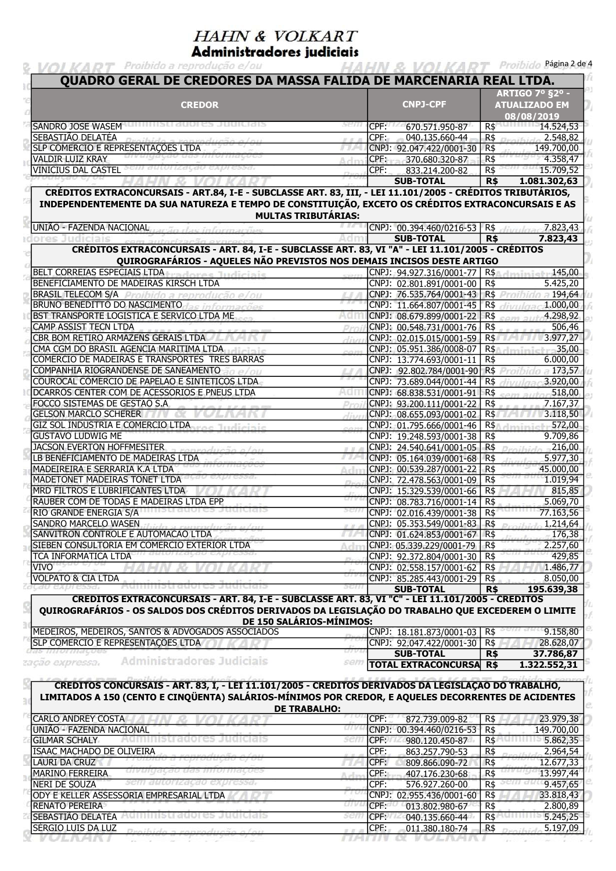Administradores judiciais

| <b>CREDOR</b>                                                                                                                                                                                                                                                              |         |      | QUADRO GERAL DE CREDORES DA MASSA FALIDA DE MARCENARIA REAL LTDA. |                |                                                              |
|----------------------------------------------------------------------------------------------------------------------------------------------------------------------------------------------------------------------------------------------------------------------------|---------|------|-------------------------------------------------------------------|----------------|--------------------------------------------------------------|
|                                                                                                                                                                                                                                                                            |         |      | <b>CNPJ-CPF</b>                                                   |                | <b>ARTIGO 7º §2º -</b><br><b>ATUALIZADO EM</b><br>08/08/2019 |
| SANDRO JOSE WASEM                                                                                                                                                                                                                                                          | sem     | CPF: | 670.571.950-87                                                    | $R\$           | 14.524,53                                                    |
| SEBASTIÃO DELATÉA                                                                                                                                                                                                                                                          | ar an   | CPF: | 040.135.660-44                                                    | R\$            | 2.548,82                                                     |
| SLP COMERCIO E REPRESENTAÇÕES LTDA                                                                                                                                                                                                                                         |         |      | CNPJ: 92.047.422/0001-30                                          | R\$            | 149.700,00                                                   |
| <b>VALDIR LUIZ KRAY</b>                                                                                                                                                                                                                                                    |         |      | CPF: 370.680.320-87                                               | R\$            | 4.358,47                                                     |
| VINICIUS DAL CASTEL <sup>SCIII</sup> autorização expressa.                                                                                                                                                                                                                 |         | CPF: | 833.214.200-82                                                    | $R\$           | 15.709,52                                                    |
|                                                                                                                                                                                                                                                                            |         |      | <b>SUB-TOTAL</b>                                                  | R <sub>5</sub> | 1.081.302,63                                                 |
| CRÉDITOS EXTRACONCURSAIS - ART.84, I-E - SUBCLASSE ART. 83, III, - LEI 11.101/2005 - CRÉDITOS TRIBUTÁRIOS,<br>INDEPENDENTEMENTE DA SUA NATUREZA E TEMPO DE CONSTITUIÇÃO, EXCETO OS CRÉDITOS EXTRACONCURSAIS E AS<br><b>MULTAS TRIBUTÁRIAS:</b><br>UNIÃO - FAZENDA NACIONAL |         |      | CNPJ: 00.394.460/0216-53 R\$ 7.823,43                             |                |                                                              |
|                                                                                                                                                                                                                                                                            |         |      | <b>SUB-TOTAL</b>                                                  | R <sub>5</sub> | 7.823,43                                                     |
| CRÉDITOS EXTRACONCURSAIS - ART. 84, I-E - SUBCLASSE ART. 83, VI "A" - LEI 11.101/2005 - CRÉDITOS<br>QUIROGRAFÁRIOS - AQUELES NÃO PREVISTOS NOS DEMAIS INCISOS DESTE ARTIGO                                                                                                 |         |      |                                                                   |                |                                                              |
| BELT CORREIAS ESPECIAIS LTDA<br>Indiciale                                                                                                                                                                                                                                  |         |      | CNPJ: 94.927.316/0001-77   R\$                                    |                | 145,00                                                       |
| BENEFICIAMENTO DE MADEIRAS KIRSCH LTDA                                                                                                                                                                                                                                     |         |      | CNPJ: 02.801.891/0001-00 R\$                                      |                | 5.425,20                                                     |
| <b>BRASIL TELECOM S/A</b> Proibido a reprodução e/ou                                                                                                                                                                                                                       |         |      | CNPJ: 76.535.764/0001-43 R\$ Projector a 194,64                   |                |                                                              |
| <b>BRUNO BENEDITTO DO NASCIMENTO Las informações</b>                                                                                                                                                                                                                       |         |      | CNPJ: 11.664.807/0001-45   R\$                                    |                | divulgac1.000,00                                             |
| BST TRANSPORTE LOGISTICA E SERVICO LTDA ME                                                                                                                                                                                                                                 | Aan     |      | CNPJ: 08.679.899/0001-22 R\$                                      |                | 4.298,92                                                     |
| CAMP ASSIST TECN LTDA<br>CBR BOM RETIRO ARMAZENS GERAIS LTDA                                                                                                                                                                                                               |         |      | CNPJ: 00.548.731/0001-76 R\$                                      |                | 506,46                                                       |
| CMA CGM DO BRASIL AGENCIA MARITIMA LTDA                                                                                                                                                                                                                                    | divu    |      | CNPJ: 02.015.015/0001-59 R\$                                      |                | 3.977,27<br>35,00                                            |
| COMERCIO DE MADEIRAS E TRANSPORTES TRES BARRAS                                                                                                                                                                                                                             | com     |      | CNPJ: 05.951.386/0008-07   R\$<br>CNPJ: 13.774.693/0001-11        | R\$            | 6.000,00                                                     |
| COMPANHIA RIOGRANDENSE DE SANEAMENTO                                                                                                                                                                                                                                       |         |      | CNPJ: 92.802.784/0001-90 R\$                                      |                | $= 173,57$                                                   |
| COUROCAL COMERCIO DE PAPELAO E SINTETICOS LTDA                                                                                                                                                                                                                             |         |      | CNPJ: 73.689.044/0001-44   R\$                                    |                | divulgac 3.920,00                                            |
| DCARROS CENTER COM DE ACESSORIOS E PNEUS LTDA                                                                                                                                                                                                                              | Adn     |      | CNPJ: 68.838.531/0001-91 R\$                                      |                | sem autori <sup>518,00</sup>                                 |
| FOCCO SISTEMAS DE GESTAO S.A                                                                                                                                                                                                                                               |         |      | CNPJ: 93.200.111/0001-22                                          | R\$            | 7.167,37                                                     |
| <b>GELSON MARCLO SCHERER</b>                                                                                                                                                                                                                                               |         |      | CNPJ: 08.655.093/0001-02 R\$                                      |                | 3.118,50                                                     |
| GIZ SOL INDUSTRIA E COMERCIO LTDA                                                                                                                                                                                                                                          |         |      | CNPJ: 01.795.666/0001-46 R\$                                      |                | 572,00                                                       |
| <b>GUSTAVO LUDWIG ME</b>                                                                                                                                                                                                                                                   |         |      | CNPJ: 19.248.593/0001-38   R\$                                    |                | 9.709,86                                                     |
| <b>JACSON EVERTON HOFFMESITER</b>                                                                                                                                                                                                                                          | 2.2.0   |      | CNPJ: 24.540.641/0001-05   R\$                                    |                | 216,00                                                       |
| LB BENEFICIAMENTO DE MADEIRAS LTDA                                                                                                                                                                                                                                         |         |      | CNPJ: 05.164.039/0001-68                                          | $R\$           | 5.977,30                                                     |
| MADEIREIRA E SERRARIA K.A LTDA                                                                                                                                                                                                                                             |         |      | CNPJ: 00.539.287/0001-22   R\$                                    |                | 45.000,00                                                    |
| MADETONET MADEIRAS TONET LTDA                                                                                                                                                                                                                                              |         |      | CNPJ: 72.478.563/0001-09 R\$                                      |                | 1.019,94                                                     |
| MRD FILTROS E LUBRIFICANTES LTDA                                                                                                                                                                                                                                           |         |      | CNPJ: 15.329.539/0001-66 R\$                                      |                | 815,85                                                       |
| RAUBER COM DE TODAS E MADEIRAS LTDA EPP                                                                                                                                                                                                                                    |         |      | CNPJ: 08.783.716/0001-14 R\$                                      |                | 5.069,70                                                     |
| RIO GRANDE ENERGIA S/A                                                                                                                                                                                                                                                     |         |      | CNPJ: 02.016.439/0001-38   R\$                                    |                | 77.163,56                                                    |
| SANDRO MARCELO WASEN                                                                                                                                                                                                                                                       |         |      | CNPJ: 05.353.549/0001-83   R\$                                    |                | 1.214,64                                                     |
| SANVITRON CONTROLE E AUTOMACAO LTDA                                                                                                                                                                                                                                        | U - A A |      | CNPJ: 01.624.853/0001-67   R\$                                    |                | 176,38                                                       |
| SIEBEN CONSULTORIA EM COMERCIO EXTERIOR LTDA<br>TCA INFORMATICA LTDA                                                                                                                                                                                                       |         |      | CNPJ: 05.339.229/0001-79   R\$                                    |                | 2.257,60                                                     |
| <b>VIVO</b>                                                                                                                                                                                                                                                                |         |      | CNPJ: 92.372.804/0001-30   R\$<br>CNPJ: 02.558.157/0001-62 R\$    |                | 429,85<br>1.486,77                                           |
| <b>VOLPATO &amp; CIA LTDA</b>                                                                                                                                                                                                                                              |         |      | CNPJ: 85.285.443/0001-29   R\$                                    |                | 8.050,00                                                     |
|                                                                                                                                                                                                                                                                            | 2011    |      | <b>SUB-TOTAL</b>                                                  | <b>R\$</b>     | 195.639,38                                                   |
| CREDITOS EXTRACONCURSAIS - ART. 84, I-E - SUBCLASSE ART. 83, VI "C" - LEI 11.101/2005 - CREDITOS<br>QUIROGRAFÁRIOS - OS SALDOS DOS CRÉDITOS DERIVADOS DA LEGISLAÇÃO DO TRABALHO QUE EXCEDEREM O LIMITE                                                                     |         |      |                                                                   |                |                                                              |
| DE 150 SALÁRIOS-MÍNIMOS:<br>MEDEIROS, MEDEIROS, SANTOS & ADVOGADOS ASSOCIADOS                                                                                                                                                                                              |         |      | CNPJ: 18.181.873/0001-03   R\$                                    |                | 9.158,80                                                     |
| SLP COMERCIO E REPRESENTAÇÕES LTDA                                                                                                                                                                                                                                         |         |      | CNPJ: 92.047.422/0001-30 R\$                                      |                | 28.628,07                                                    |
| <i>aas mormações</i>                                                                                                                                                                                                                                                       |         |      | <b>SUB-TOTAL</b>                                                  | <b>R\$</b>     | 37.786,87                                                    |
| Administradores Judiciais<br>tação expressa.                                                                                                                                                                                                                               | sem     |      | <b>TOTAL EXTRACONCURSA R\$</b>                                    |                | 1.322.552,31                                                 |

175 I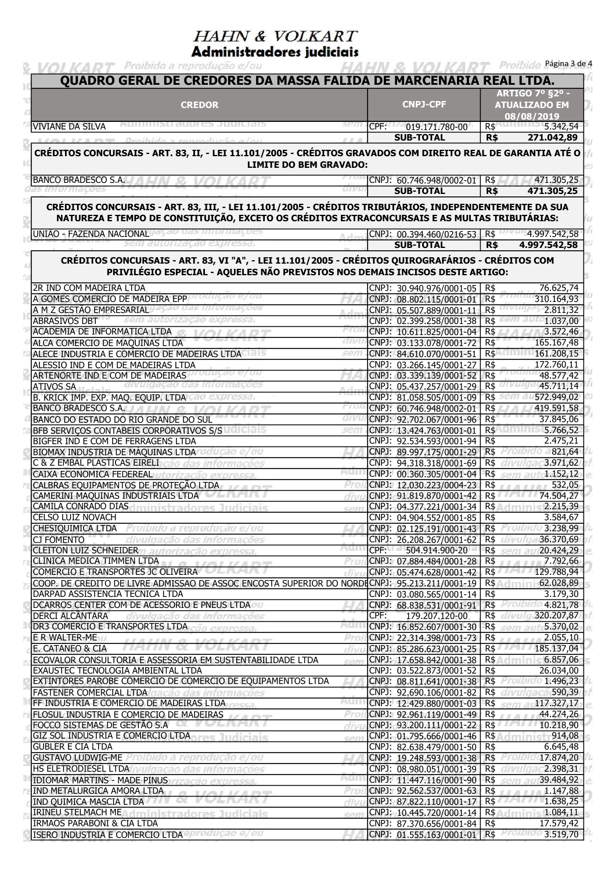Administradores judiciais **& VOI KART** Proibido a reprodução e/ou

| QUADRO GERAL DE CREDORES DA MASSA FALIDA DE MARCENARIA REAL LTDA.                                                                                                                                                                                                                     |             |      |                                                              |                                                |                                        |  |
|---------------------------------------------------------------------------------------------------------------------------------------------------------------------------------------------------------------------------------------------------------------------------------------|-------------|------|--------------------------------------------------------------|------------------------------------------------|----------------------------------------|--|
| <b>CREDOR</b>                                                                                                                                                                                                                                                                         |             |      | <b>CNPJ-CPF</b>                                              | <b>ARTIGO 7º §2º -</b><br><b>ATUALIZADO EM</b> |                                        |  |
| <b>VIVIANE DA SILVA</b>                                                                                                                                                                                                                                                               |             | CPF: | 019.171.780-00                                               | $R\$                                           | 08/08/2019<br>5.342,54                 |  |
|                                                                                                                                                                                                                                                                                       |             |      | <b>SUB-TOTAL</b>                                             | <b>R\$</b>                                     | 271.042,89                             |  |
| CRÉDITOS CONCURSAIS - ART. 83, II, - LEI 11.101/2005 - CRÉDITOS GRAVADOS COM DIREITO REAL DE GARANTIA ATÉ O<br><b>LIMITE DO BEM GRAVADO:</b>                                                                                                                                          |             |      |                                                              |                                                |                                        |  |
| BANCO BRADESCO S.A.                                                                                                                                                                                                                                                                   |             |      | CNPJ: 60.746.948/0002-01 R\$                                 |                                                | 471.305,25                             |  |
|                                                                                                                                                                                                                                                                                       | arvu        |      | <b>SUB-TOTAL</b>                                             | R <sub>5</sub>                                 | 471.305,25                             |  |
| CRÉDITOS CONCURSAIS - ART. 83, III, - LEI 11.101/2005 - CRÉDITOS TRIBUTÁRIOS, INDEPENDENTEMENTE DA SUA<br>NATUREZA E TEMPO DE CONSTITUIÇÃO, EXCETO OS CRÉDITOS EXTRACONCURSAIS E AS MULTAS TRIBUTÁRIAS:                                                                               |             |      |                                                              |                                                |                                        |  |
| UNIÃO - FAZENDA NACIONAL<br>orizacao                                                                                                                                                                                                                                                  |             |      | CNPJ: 00.394.460/0216-53   R\$<br><b>SUB-TOTAL</b>           | <b>R\$</b>                                     | 4.997.542,58                           |  |
| CRÉDITOS CONCURSAIS - ART. 83, VI "A", - LEI 11.101/2005 - CRÉDITOS QUIROGRAFÁRIOS - CRÉDITOS COM<br>PRIVILÉGIO ESPECIAL - AQUELES NÃO PREVISTOS NOS DEMAIS INCISOS DESTE ARTIGO:                                                                                                     |             |      |                                                              |                                                | 4.997.542,58                           |  |
| 2R IND COM MADEIRA LTDA                                                                                                                                                                                                                                                               |             |      | CNPJ: 30.940.976/0001-05                                     | R\$                                            | 76.625,74                              |  |
| A GOMES COMERCIO DE MADEIRA EPP                                                                                                                                                                                                                                                       |             |      | CNPJ: 08.802.115/0001-01                                     | R <sub>5</sub>                                 | 310.164,93                             |  |
| A M Z GESTÃO EMPRESARIAL                                                                                                                                                                                                                                                              |             |      | CNPJ: 05.507.889/0001-11                                     | $R\$                                           | 2.811,32                               |  |
| <b>ABRASIVOS DBT</b><br>ACADEMIA DE INFORMATICA LTDA                                                                                                                                                                                                                                  |             |      | CNPJ: 02.399.258/0001-38   R\$                               |                                                | 1.037,00                               |  |
| ALCA COMERCIO DE MAQUINAS LTDA                                                                                                                                                                                                                                                        |             |      | CNPJ: 10.611.825/0001-04<br>CNPJ: 03.133.078/0001-72         | $R\$<br>$R\$                                   | 3.572,46<br>165.167,48                 |  |
| ALECE INDUSTRIA E COMERCIO DE MADEIRAS LTDA                                                                                                                                                                                                                                           | sem         |      | CNPJ: 84.610.070/0001-51                                     | R\$                                            | 161.208,15                             |  |
| ALESSIO IND E COM DE MADEIRAS LTDA                                                                                                                                                                                                                                                    |             |      | CNPJ: 03.266.145/0001-27                                     | R\$                                            | 172.760,11                             |  |
| ARTENORTE IND E COM DE MADEIRAS                                                                                                                                                                                                                                                       |             |      | CNPJ: 03.339.139/0001-52                                     | $R\$                                           | 48.577,42                              |  |
| alvulgação das<br><b>ATIVOS SA</b>                                                                                                                                                                                                                                                    |             |      | CNPJ: 05.437.257/0001-29                                     | $R\$                                           | 45.711,14                              |  |
| B. KRICK IMP. EXP. MAQ. EQUIP. LTDA                                                                                                                                                                                                                                                   |             |      | CNPJ: 81.058.505/0001-09                                     | $R\$                                           | 572.949,02                             |  |
| <b>BANCO BRADESCO S.A.</b>                                                                                                                                                                                                                                                            |             |      | CNPJ: 60.746.948/0002-01                                     | $R\$                                           | 419.591,58                             |  |
| BANCO DO ESTADO DO RIO GRANDE DO SUL                                                                                                                                                                                                                                                  | arvu<br>sen |      | CNPJ: 92.702.067/0001-96                                     | $R\$                                           | 37.845,06<br>R\$ 5.766,52              |  |
| BFB SERVIÇOS CONTABEIS CORPORATIVOS S/S<br>BIGFER IND E COM DE FERRAGENS LTDA                                                                                                                                                                                                         |             |      | CNPJ: 13.424.763/0001-01<br>CNPJ: 92.534.593/0001-94         | $R\$                                           | 2.475,21                               |  |
| BIOMAX INDÚSTRIA DE MÁQUINAS LTDA TOdUÇão e/ou                                                                                                                                                                                                                                        |             |      | CNPJ: 89.997.175/0001-29 R\$                                 |                                                | Proibido a 821,64                      |  |
| C & Z EMBAL PLASTICAS EIRELI                                                                                                                                                                                                                                                          |             |      | CNPJ: 94.318.318/0001-69                                     | R\$                                            | 3.971,62                               |  |
| <b>CAIXA ECONOMICA FEDEREAL</b> utorização expressa                                                                                                                                                                                                                                   |             |      | CNPJ: 00.360.305/0001-04                                     | $R\$                                           | 1.152,12                               |  |
| CALBRAS EQUIPAMENTOS DE PROTEÇÃO LTDA                                                                                                                                                                                                                                                 |             |      | CNPJ: 12,030.223/0004-23                                     | $R\$                                           | 532,05                                 |  |
| CAMERINI MAQUINAS INDUSTRIAIS LTDA<br>-------                                                                                                                                                                                                                                         |             |      | CNPJ: 91.819.870/0001-42                                     | $R\$                                           | 74.504,27                              |  |
| CAMILA CONRADO DIAS<br>inistradores Judiciais<br><b>CELSO LUIZ NOVACH</b>                                                                                                                                                                                                             | C(11)       |      | CNPJ: 04.377.221/0001-34                                     | $R\$<br>$R\$                                   | 2.215,39<br>3.584,67                   |  |
| <b>CHESIQUIMICA LTDA</b> Proibido a reprodução e/ou                                                                                                                                                                                                                                   |             |      | CNPJ: 04.904.552/0001-85<br>CNPJ: 02.125.191/0001-43 R\$     |                                                |                                        |  |
| <b>CJ FOMENTO</b><br>divulgação das informações                                                                                                                                                                                                                                       |             |      | CNPJ: 26.208.267/0001-62 R\$ divide 36.370,69                |                                                |                                        |  |
| CLEITON LUIZ SCHNEIDER <sub>TI</sub> autorização expressa.                                                                                                                                                                                                                            | AQIII       |      | CPF: 504.914.900-20                                          |                                                | R\$ 20.424,29                          |  |
| CLINICA MEDICA TIMMEN LTDA                                                                                                                                                                                                                                                            | Proi        |      | CNPJ: 07.884.484/0001-28                                     | R\$                                            | 7.792,66                               |  |
| COMERCIO E TRANSPORTES JC OLIVEIRA                                                                                                                                                                                                                                                    | div         |      | CNPJ: 05.474.628/0001-42                                     |                                                | R\$ 129.788,94                         |  |
| COOP. DE CREDITO DE LIVRE ADMISSAO DE ASSOC ENCOSTA SUPERIOR DO NORDECNPJ: 95.213.211/0001-19                                                                                                                                                                                         |             |      |                                                              |                                                | R\$ 62.028,89                          |  |
| DARPAD ASSISTENCIA TECNICA LTDA                                                                                                                                                                                                                                                       |             |      | CNPJ: 03.080.565/0001-14                                     | R\$                                            | 3.179,30                               |  |
| DCARROS CENTER COM DE ACESSORIO E PNEUS LTDA<br>DERCI ALCÂNTARA<br>divulgação das informações                                                                                                                                                                                         |             |      | CNPJ: 68.838.531/0001-91<br>CPF: 179.207.120-00              |                                                | R\$ Promoto 4.821,78<br>R\$ 320.207,87 |  |
| DR3 COMÉRCIO E TRANSPORTES LTDA cão expressa.                                                                                                                                                                                                                                         | Aur         |      | CNPJ: 16.852.607/0001-30                                     | $R\$                                           | sem aut 5.370,02                       |  |
| E R WALTER-ME<br>UAUN C. VOLVADT                                                                                                                                                                                                                                                      | Pro         |      | CNPJ: 22.314.398/0001-73                                     | $R\$                                           | 2.055,10                               |  |
| E. CATANEO & CIA <b>TIME IN A REPORT OF A LIMITATION</b>                                                                                                                                                                                                                              | divu        |      | CNPJ: 85.286.623/0001-25                                     |                                                | R\$ 185.137,04                         |  |
| ECOVALOR CONSULTORIA E ASSESSORIA EM SUSTENTABILIDADE LTDA                                                                                                                                                                                                                            | com         |      | CNPJ: 17.658.842/0001-38 R\$6.857,06                         |                                                |                                        |  |
| EXAUSTEC TECNOLOGIA AMBIENTAL LTDA                                                                                                                                                                                                                                                    |             |      | CNPJ: 03.522.873/0001-52 R\$                                 |                                                | 26.034,00                              |  |
| EXTINTORES PAROBE COMERCIO DE COMERCIO DE EQUIPAMENTOS LTDA                                                                                                                                                                                                                           |             |      | CNPJ: 08.811.641/0001-38 R\$ 200000 1.496,23                 |                                                |                                        |  |
| <b>FASTENER COMERCIAL LTDA</b> gação das informações<br>FF INDUSTRIA E COMERCIO DE MADEIRAS LTDA                                                                                                                                                                                      | AGH         |      | CNPJ: 92.690.106/0001-82 R\$<br>CNPJ: 12.429.880/0001-03 R\$ |                                                | sem au117.327,17                       |  |
| FLOSUL INDUSTRIA E COMERCIO DE MADEIRAS                                                                                                                                                                                                                                               | Pro         |      | CNPJ: 92.961.119/0001-49                                     | $R\$                                           | 44.274,26                              |  |
| FOCCO SISTEMAS DE GESTÃO S.A                                                                                                                                                                                                                                                          | divi        |      | CNPJ: 93.200.111/0001-22                                     |                                                | R\$ 10.218,90                          |  |
| <b>GIZ SOL INDUSTRIA E COMERCIO LTDA TELES TRANSICIONS</b>                                                                                                                                                                                                                            | sem         |      | CNPJ: 01.795.666/0001-46 R\$ 914,08                          |                                                |                                        |  |
| <b>GUBLER E CIA LTDA</b>                                                                                                                                                                                                                                                              |             |      | CNPJ: 82.638.479/0001-50 R\$                                 |                                                | 6.645,48                               |  |
| GUSTAVO LUDWIG-ME Proibido a reprodução e/ou                                                                                                                                                                                                                                          |             |      | CNPJ: 19.248.593/0001-38 R\$                                 |                                                |                                        |  |
| HS ELETRODIESEL LTDA ivulgação das informações                                                                                                                                                                                                                                        |             |      | CNPJ: 08.980.051/0001-39 R\$ 0000002.398,31                  |                                                |                                        |  |
| <b>IDIOMAR MARTINS - MADE PINUS FIZACÃO EXPRESSA.</b>                                                                                                                                                                                                                                 | AQITI       |      | CNPJ: 11.447.116/0001-90 R\$ sem a 39.484,92                 |                                                |                                        |  |
| IND METALURGICA AMORA LTDA AND THE TABLE TO A THEFT<br>IND QUIMICA MASCIA LTDA AND THE RELEASED OF THE RELEASED OF THE RELEASED OF THE RELEASED OF THE RELEASED OF THE RELEASED OF THE RELEASED OF THE RELEASED OF THE RELEASED OF THE RELEASED OF THE RELEASED OF THE RELEASED OF TH | Pro<br>div  |      | CNPJ: 92.562.537/0001-63<br>CNPJ: 87.822.110/0001-17         | R\$                                            | 1.147,88<br>R\$ 1.638,25               |  |
| <b>IRINEU STELMACH MENER EINER EINER EINER ZU EINER EINER</b>                                                                                                                                                                                                                         | <b>SAIN</b> |      | CNPJ: $10.445.720/0001 - 14$ R\$ 1.084,11                    |                                                |                                        |  |
| IRMAOS PARABONI & CIA LTDA                                                                                                                                                                                                                                                            |             |      | CNPJ: 87.370.656/0001-84                                     | R\$                                            | 17.579,42                              |  |
|                                                                                                                                                                                                                                                                                       |             |      | CNPJ: 01.555.163/0001-01                                     |                                                | R\$ 2000100 3.519,70                   |  |